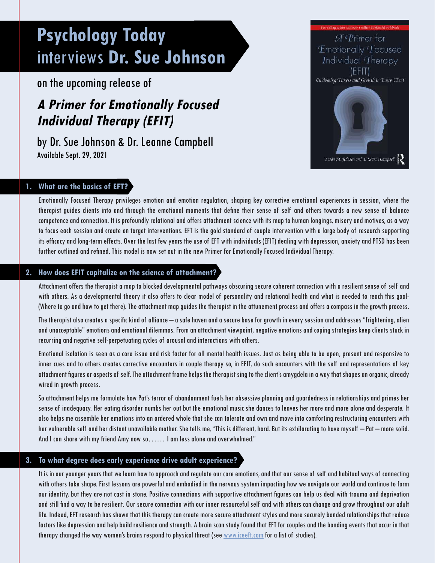# **Psychology Today**  interviews **Dr. Sue Johnson**

on the upcoming release of

# **A Primer for Emotionally Focused Individual Therapy (EFIT)**

by Dr. Sue Johnson & Dr. Leanne Campbell Available Sept. 29, 2021



# **1. What are the basics of EFT?**

Emotionally Focused Therapy privileges emotion and emotion regulation, shaping key corrective emotional experiences in session, where the therapist guides clients into and through the emotional moments that define their sense of self and others towards a new sense of balance competence and connection. It is profoundly relational and offers attachment science with its map to human longings, misery and motives, as a way to focus each session and create on target interventions. EFT is the gold standard of couple intervention with a large body of research supporting its efficacy and long-term effects. Over the last few years the use of EFT with individuals (EFIT) dealing with depression, anxiety and PTSD has been further outlined and refined. This model is now set out in the new Primer for Emotionally Focused Individual Therapy.

## **2. How does EFIT capitalize on the science of attachment?**

Attachment offers the therapist a map to blocked developmental pathways obscuring secure coherent connection with a resilient sense of self and with others. As a developmental theory it also offers to clear model of personality and relational health and what is needed to reach this goal- (Where to go and how to get there). The attachment map guides the therapist in the attunement process and offers a compass in the growth process.

The therapist also creates a specific kind of alliance – a safe haven and a secure base for growth in every session and addresses "frightening, alien and unacceptable" emotions and emotional dilemmas. From an attachment viewpoint, negative emotions and coping strategies keep clients stuck in recurring and negative self-perpetuating cycles of arousal and interactions with others.

Emotional isolation is seen as a core issue and risk factor for all mental health issues. Just as being able to be open, present and responsive to inner cues and to others creates corrective encounters in couple therapy so, in EFIT, do such encounters with the self and representations of key attachment figures or aspects of self. The attachment frame helps the therapist sing to the client's amygdela in a way that shapes an organic, already wired in growth process.

So attachment helps me formulate how Pat's terror of abandonment fuels her obsessive planning and guardedness in relationships and primes her sense of inadequacy. Her eating disorder numbs her out but the emotional music she dances to leaves her more and more alone and desperate. It also helps me assemble her emotions into an ordered whole that she can tolerate and own and move into comforting restructuring encounters with her vulnerable self and her distant unavailable mother. She tells me, "This is different, hard. But its exhilarating to have myself – Pat – more solid. And I can share with my friend Amy now so…… I am less alone and overwhelmed."

# **3. To what degree does early experience drive adult experience?**

It is in our younger years that we learn how to approach and regulate our core emotions, and that our sense of self and habitual ways of connecting with others take shape. First lessons are powerful and embodied in the nervous system impacting how we navigate our world and continue to form our identity, but they are not cast in stone. Positive connections with supportive attachment figures can help us deal with trauma and deprivation and still find a way to be resilient. Our secure connection with our inner resourceful self and with others can change and grow throughout our adult life. Indeed, EFT research has shown that this therapy can create more secure attachment styles and more securely bonded relationships that reduce factors like depression and help build resilience and strength. A brain scan study found that EFT for couples and the bonding events that occur in that therapy changed the way women's brains respond to physical threat (see [www.iceeft.com](http://www.iceeft.com) for a list of studies).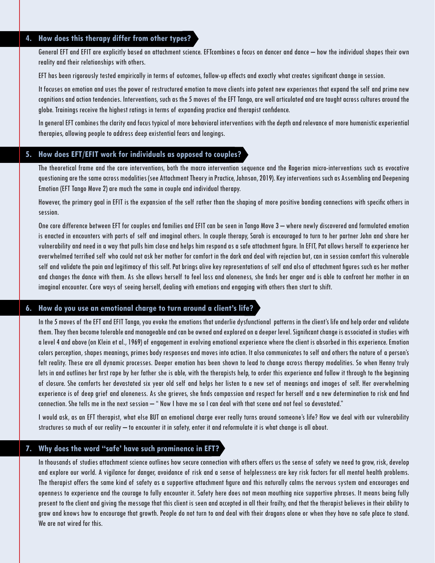#### **4. How does this therapy differ from other types?**

General EFT and EFIT are explicitly based on attachment science. EFTcombines a focus on dancer and dance – how the individual shapes their own reality and their relationships with others.

EFT has been rigorously tested empirically in terms of outcomes, follow-up effects and exactly what creates significant change in session.

It focuses on emotion and uses the power of restructured emotion to move clients into potent new experiences that expand the self and prime new cognitions and action tendencies. Interventions, such as the 5 moves of the EFT Tango, are well articulated and are taught across cultures around the globe. Trainings receive the highest ratings in terms of expanding practice and therapist confidence.

In general EFT combines the clarity and focus typical of more behavioral interventions with the depth and relevance of more humanistic experiential therapies, allowing people to address deep existential fears and longings.

#### **5. How does EFT/EFIT work for individuals as opposed to couples?**

The theoretical frame and the core interventions, both the macro intervention sequence and the Rogerian micro-interventions such as evocative questioning are the same across modalities (see Attachment Theory in Practice, Johnson, 2019). Key interventions such as Assembling and Deepening Emotion (EFT Tango Move 2) are much the same in couple and individual therapy.

However, the primary goal in EFIT is the expansion of the self rather than the shaping of more positive bonding connections with specific others in session.

One core difference between EFT for couples and families and EFIT can be seen in Tango Move 3 – where newly discovered and formulated emotion is enacted in encounters with parts of self and imaginal others. In couple therapy, Sarah is encouraged to turn to her partner John and share her vulnerability and need in a way that pulls him close and helps him respond as a safe attachment figure. In EFIT, Pat allows herself to experience her overwhelmed terrified self who could not ask her mother for comfort in the dark and deal with rejection but, can in session comfort this vulnerable self and validate the pain and legitimacy of this self. Pat brings alive key representations of self and also of attachment figures such as her mother and changes the dance with them. As she allows herself to feel loss and aloneness, she finds her anger and is able to confront her mother in an imaginal encounter. Core ways of seeing herself, dealing with emotions and engaging with others then start to shift.

#### **6. How do you use an emotional charge to turn around a client's life?**

In the 5 moves of the EFT and EFIT Tango, you evoke the emotions that underlie dysfunctional patterns in the client's life and help order and validate them. They then become tolerable and manageable and can be owned and explored on a deeper level. Significant change is associated in studies with a level 4 and above (on Klein et al., 1969) of engagement in evolving emotional experience where the client is absorbed in this experience. Emotion colors perception, shapes meanings, primes body responses and moves into action. It also communicates to self and others the nature of a person's felt reality. These are all dynamic processes. Deeper emotion has been shown to lead to change across therapy modalities. So when Henny truly lets in and outlines her first rape by her father she is able, with the therapists help, to order this experience and follow it through to the beginning of closure. She comforts her devastated six year old self and helps her listen to a new set of meanings and images of self. Her overwhelming experience is of deep grief and aloneness. As she grieves, she finds compassion and respect for herself and a new determination to risk and find connection. She tells me in the next session – " Now I have me so I can deal with that scene and not feel so devastated."

I would ask, as an EFT therapist, what else BUT an emotional charge ever really turns around someone's life? How we deal with our vulnerability structures so much of our reality – to encounter it in safety, enter it and reformulate it is what change is all about.

## **7. Why does the word "safe' have such prominence in EFT?**

In thousands of studies attachment science outlines how secure connection with others offers us the sense of safety we need to grow, risk, develop and explore our world. A vigilance for danger, avoidance of risk and a sense of helplessness are key risk factors for all mental health problems. The therapist offers the same kind of safety as a supportive attachment figure and this naturally calms the nervous system and encourages and openness to experience and the courage to fully encounter it. Safety here does not mean mouthing nice supportive phrases. It means being fully present to the client and giving the message that this client is seen and accepted in all their frailty, and that the therapist believes in their ability to grow and knows how to encourage that growth. People do not turn to and deal with their dragons alone or when they have no safe place to stand. We are not wired for this.